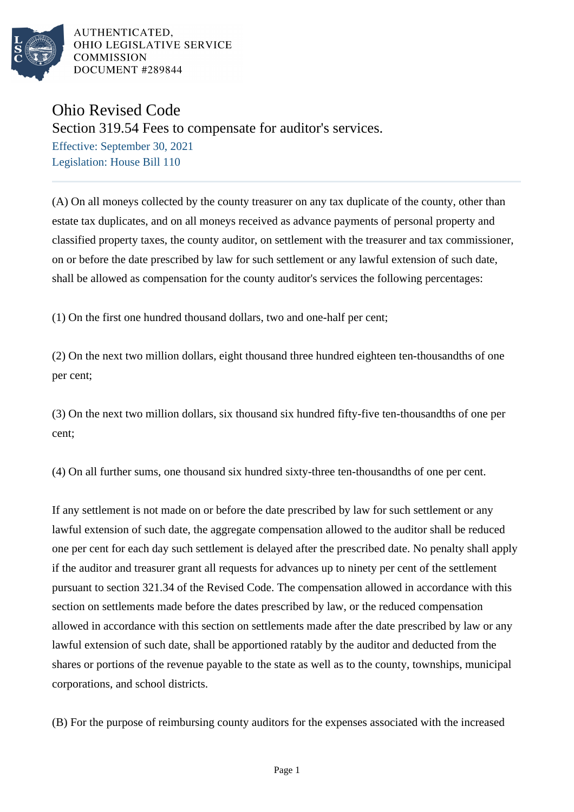

## Ohio Revised Code

Section 319.54 Fees to compensate for auditor's services.

Effective: September 30, 2021 Legislation: House Bill 110

(A) On all moneys collected by the county treasurer on any tax duplicate of the county, other than estate tax duplicates, and on all moneys received as advance payments of personal property and classified property taxes, the county auditor, on settlement with the treasurer and tax commissioner, on or before the date prescribed by law for such settlement or any lawful extension of such date, shall be allowed as compensation for the county auditor's services the following percentages:

(1) On the first one hundred thousand dollars, two and one-half per cent;

(2) On the next two million dollars, eight thousand three hundred eighteen ten-thousandths of one per cent;

(3) On the next two million dollars, six thousand six hundred fifty-five ten-thousandths of one per cent;

(4) On all further sums, one thousand six hundred sixty-three ten-thousandths of one per cent.

If any settlement is not made on or before the date prescribed by law for such settlement or any lawful extension of such date, the aggregate compensation allowed to the auditor shall be reduced one per cent for each day such settlement is delayed after the prescribed date. No penalty shall apply if the auditor and treasurer grant all requests for advances up to ninety per cent of the settlement pursuant to section 321.34 of the Revised Code. The compensation allowed in accordance with this section on settlements made before the dates prescribed by law, or the reduced compensation allowed in accordance with this section on settlements made after the date prescribed by law or any lawful extension of such date, shall be apportioned ratably by the auditor and deducted from the shares or portions of the revenue payable to the state as well as to the county, townships, municipal corporations, and school districts.

(B) For the purpose of reimbursing county auditors for the expenses associated with the increased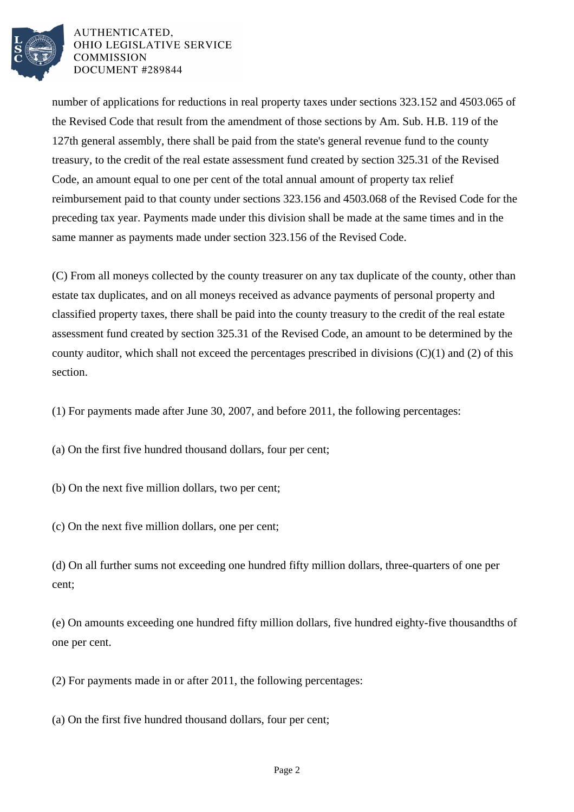

number of applications for reductions in real property taxes under sections 323.152 and 4503.065 of the Revised Code that result from the amendment of those sections by Am. Sub. H.B. 119 of the 127th general assembly, there shall be paid from the state's general revenue fund to the county treasury, to the credit of the real estate assessment fund created by section 325.31 of the Revised Code, an amount equal to one per cent of the total annual amount of property tax relief reimbursement paid to that county under sections 323.156 and 4503.068 of the Revised Code for the preceding tax year. Payments made under this division shall be made at the same times and in the same manner as payments made under section 323.156 of the Revised Code.

(C) From all moneys collected by the county treasurer on any tax duplicate of the county, other than estate tax duplicates, and on all moneys received as advance payments of personal property and classified property taxes, there shall be paid into the county treasury to the credit of the real estate assessment fund created by section 325.31 of the Revised Code, an amount to be determined by the county auditor, which shall not exceed the percentages prescribed in divisions  $(C)(1)$  and  $(2)$  of this section.

(1) For payments made after June 30, 2007, and before 2011, the following percentages:

(a) On the first five hundred thousand dollars, four per cent;

(b) On the next five million dollars, two per cent;

(c) On the next five million dollars, one per cent;

(d) On all further sums not exceeding one hundred fifty million dollars, three-quarters of one per cent;

(e) On amounts exceeding one hundred fifty million dollars, five hundred eighty-five thousandths of one per cent.

(2) For payments made in or after 2011, the following percentages:

(a) On the first five hundred thousand dollars, four per cent;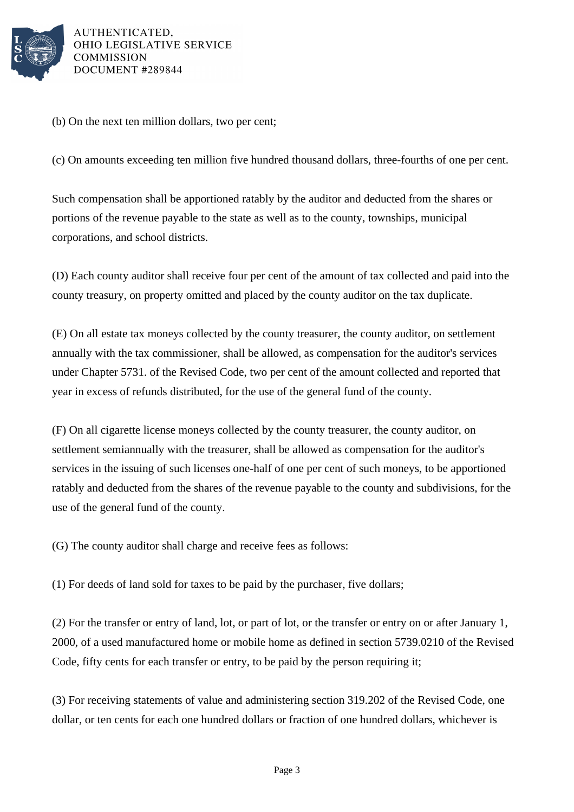

(b) On the next ten million dollars, two per cent;

(c) On amounts exceeding ten million five hundred thousand dollars, three-fourths of one per cent.

Such compensation shall be apportioned ratably by the auditor and deducted from the shares or portions of the revenue payable to the state as well as to the county, townships, municipal corporations, and school districts.

(D) Each county auditor shall receive four per cent of the amount of tax collected and paid into the county treasury, on property omitted and placed by the county auditor on the tax duplicate.

(E) On all estate tax moneys collected by the county treasurer, the county auditor, on settlement annually with the tax commissioner, shall be allowed, as compensation for the auditor's services under Chapter 5731. of the Revised Code, two per cent of the amount collected and reported that year in excess of refunds distributed, for the use of the general fund of the county.

(F) On all cigarette license moneys collected by the county treasurer, the county auditor, on settlement semiannually with the treasurer, shall be allowed as compensation for the auditor's services in the issuing of such licenses one-half of one per cent of such moneys, to be apportioned ratably and deducted from the shares of the revenue payable to the county and subdivisions, for the use of the general fund of the county.

(G) The county auditor shall charge and receive fees as follows:

(1) For deeds of land sold for taxes to be paid by the purchaser, five dollars;

(2) For the transfer or entry of land, lot, or part of lot, or the transfer or entry on or after January 1, 2000, of a used manufactured home or mobile home as defined in section 5739.0210 of the Revised Code, fifty cents for each transfer or entry, to be paid by the person requiring it;

(3) For receiving statements of value and administering section 319.202 of the Revised Code, one dollar, or ten cents for each one hundred dollars or fraction of one hundred dollars, whichever is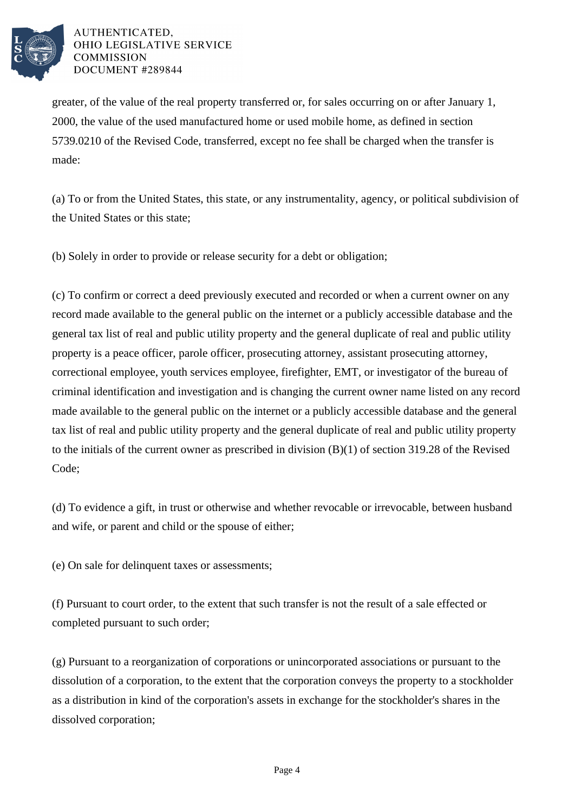

greater, of the value of the real property transferred or, for sales occurring on or after January 1, 2000, the value of the used manufactured home or used mobile home, as defined in section 5739.0210 of the Revised Code, transferred, except no fee shall be charged when the transfer is made:

(a) To or from the United States, this state, or any instrumentality, agency, or political subdivision of the United States or this state;

(b) Solely in order to provide or release security for a debt or obligation;

(c) To confirm or correct a deed previously executed and recorded or when a current owner on any record made available to the general public on the internet or a publicly accessible database and the general tax list of real and public utility property and the general duplicate of real and public utility property is a peace officer, parole officer, prosecuting attorney, assistant prosecuting attorney, correctional employee, youth services employee, firefighter, EMT, or investigator of the bureau of criminal identification and investigation and is changing the current owner name listed on any record made available to the general public on the internet or a publicly accessible database and the general tax list of real and public utility property and the general duplicate of real and public utility property to the initials of the current owner as prescribed in division (B)(1) of section 319.28 of the Revised Code;

(d) To evidence a gift, in trust or otherwise and whether revocable or irrevocable, between husband and wife, or parent and child or the spouse of either;

(e) On sale for delinquent taxes or assessments;

(f) Pursuant to court order, to the extent that such transfer is not the result of a sale effected or completed pursuant to such order;

(g) Pursuant to a reorganization of corporations or unincorporated associations or pursuant to the dissolution of a corporation, to the extent that the corporation conveys the property to a stockholder as a distribution in kind of the corporation's assets in exchange for the stockholder's shares in the dissolved corporation;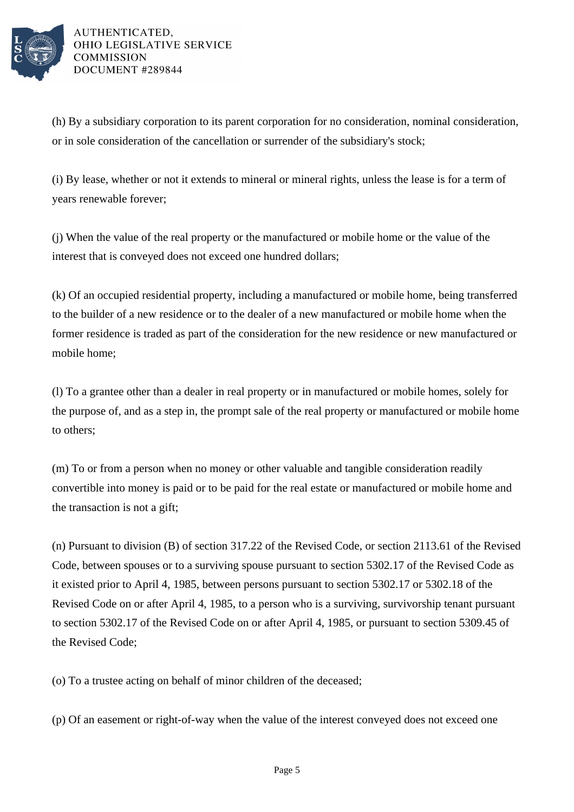

(h) By a subsidiary corporation to its parent corporation for no consideration, nominal consideration, or in sole consideration of the cancellation or surrender of the subsidiary's stock;

(i) By lease, whether or not it extends to mineral or mineral rights, unless the lease is for a term of years renewable forever;

(j) When the value of the real property or the manufactured or mobile home or the value of the interest that is conveyed does not exceed one hundred dollars;

(k) Of an occupied residential property, including a manufactured or mobile home, being transferred to the builder of a new residence or to the dealer of a new manufactured or mobile home when the former residence is traded as part of the consideration for the new residence or new manufactured or mobile home;

(l) To a grantee other than a dealer in real property or in manufactured or mobile homes, solely for the purpose of, and as a step in, the prompt sale of the real property or manufactured or mobile home to others;

(m) To or from a person when no money or other valuable and tangible consideration readily convertible into money is paid or to be paid for the real estate or manufactured or mobile home and the transaction is not a gift;

(n) Pursuant to division (B) of section 317.22 of the Revised Code, or section 2113.61 of the Revised Code, between spouses or to a surviving spouse pursuant to section 5302.17 of the Revised Code as it existed prior to April 4, 1985, between persons pursuant to section 5302.17 or 5302.18 of the Revised Code on or after April 4, 1985, to a person who is a surviving, survivorship tenant pursuant to section 5302.17 of the Revised Code on or after April 4, 1985, or pursuant to section 5309.45 of the Revised Code;

(o) To a trustee acting on behalf of minor children of the deceased;

(p) Of an easement or right-of-way when the value of the interest conveyed does not exceed one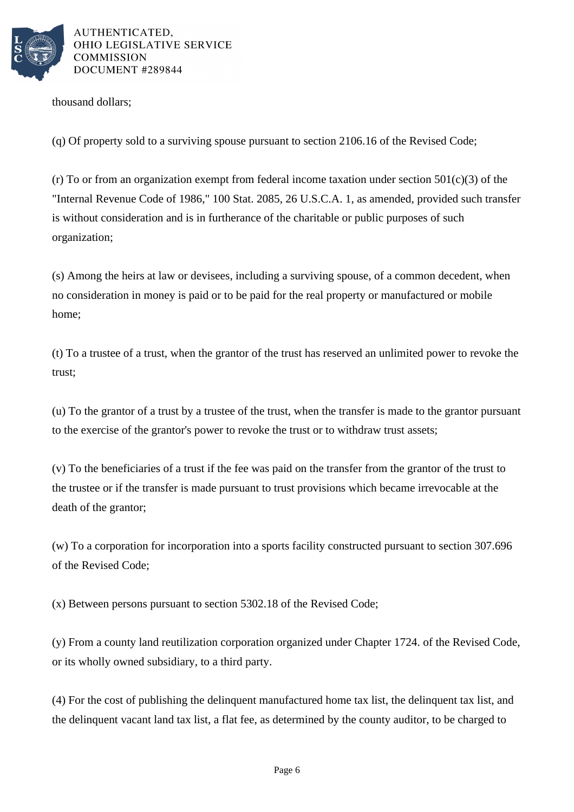

thousand dollars;

(q) Of property sold to a surviving spouse pursuant to section 2106.16 of the Revised Code;

(r) To or from an organization exempt from federal income taxation under section  $501(c)(3)$  of the "Internal Revenue Code of 1986," 100 Stat. 2085, 26 U.S.C.A. 1, as amended, provided such transfer is without consideration and is in furtherance of the charitable or public purposes of such organization;

(s) Among the heirs at law or devisees, including a surviving spouse, of a common decedent, when no consideration in money is paid or to be paid for the real property or manufactured or mobile home;

(t) To a trustee of a trust, when the grantor of the trust has reserved an unlimited power to revoke the trust;

(u) To the grantor of a trust by a trustee of the trust, when the transfer is made to the grantor pursuant to the exercise of the grantor's power to revoke the trust or to withdraw trust assets;

(v) To the beneficiaries of a trust if the fee was paid on the transfer from the grantor of the trust to the trustee or if the transfer is made pursuant to trust provisions which became irrevocable at the death of the grantor;

(w) To a corporation for incorporation into a sports facility constructed pursuant to section 307.696 of the Revised Code;

(x) Between persons pursuant to section 5302.18 of the Revised Code;

(y) From a county land reutilization corporation organized under Chapter 1724. of the Revised Code, or its wholly owned subsidiary, to a third party.

(4) For the cost of publishing the delinquent manufactured home tax list, the delinquent tax list, and the delinquent vacant land tax list, a flat fee, as determined by the county auditor, to be charged to